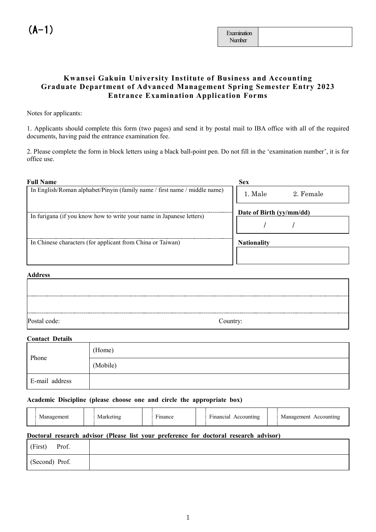# **Kwansei Gakuin University Institute of Business and Accounting Graduate Department of Advanced Management Spring Semester Entry 2023 Entrance Examination Application Forms**

Notes for applicants:

1. Applicants should complete this form (two pages) and send it by postal mail to IBA office with all of the required documents, having paid the entrance examination fee.

2. Please complete the form in block letters using a black ball-point pen. Do not fill in the 'examination number', it is for office use.

| <b>Full Name</b>                                                          | <b>Sex</b>               |
|---------------------------------------------------------------------------|--------------------------|
| In English/Roman alphabet/Pinyin (family name / first name / middle name) | 1. Male<br>2. Female     |
| In furigana (if you know how to write your name in Japanese letters)      | Date of Birth (yy/mm/dd) |
|                                                                           |                          |
| In Chinese characters (for applicant from China or Taiwan)                | <b>Nationality</b>       |
|                                                                           |                          |
|                                                                           |                          |

#### **Address**

| Postal code: | Country: |
|--------------|----------|

#### **Contact Details**

| Phone          | (Home)   |
|----------------|----------|
|                | (Mobile) |
| E-mail address |          |

#### **Academic Discipline (please choose one and circle the appropriate box)**

| Management | Marketing | $\overline{\phantom{a}}$<br>Finance | $\overline{\phantom{a}}$<br>Financial Accounting | Management Accounting |
|------------|-----------|-------------------------------------|--------------------------------------------------|-----------------------|
|            |           |                                     |                                                  |                       |

#### **Doctoral research advisor (Please list your preference for doctoral research advisor)**

| (First)<br>Prof. |  |
|------------------|--|
| (Second) Prof.   |  |